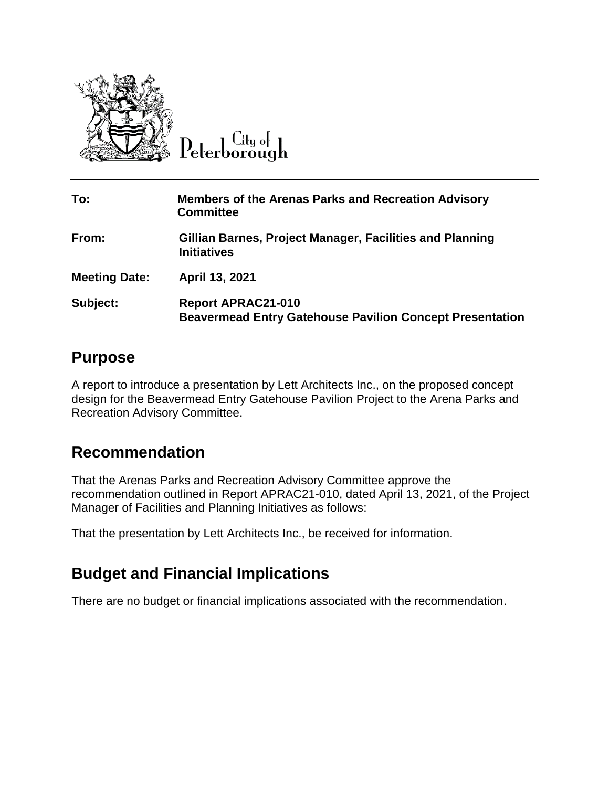

Peterborough

| To:                  | <b>Members of the Arenas Parks and Recreation Advisory</b><br><b>Committee</b>               |
|----------------------|----------------------------------------------------------------------------------------------|
| From:                | Gillian Barnes, Project Manager, Facilities and Planning<br><b>Initiatives</b>               |
| <b>Meeting Date:</b> | April 13, 2021                                                                               |
| Subject:             | <b>Report APRAC21-010</b><br><b>Beavermead Entry Gatehouse Pavilion Concept Presentation</b> |

#### **Purpose**

A report to introduce a presentation by Lett Architects Inc., on the proposed concept design for the Beavermead Entry Gatehouse Pavilion Project to the Arena Parks and Recreation Advisory Committee.

#### **Recommendation**

That the Arenas Parks and Recreation Advisory Committee approve the recommendation outlined in Report APRAC21-010, dated April 13, 2021, of the Project Manager of Facilities and Planning Initiatives as follows:

That the presentation by Lett Architects Inc., be received for information.

## **Budget and Financial Implications**

There are no budget or financial implications associated with the recommendation.